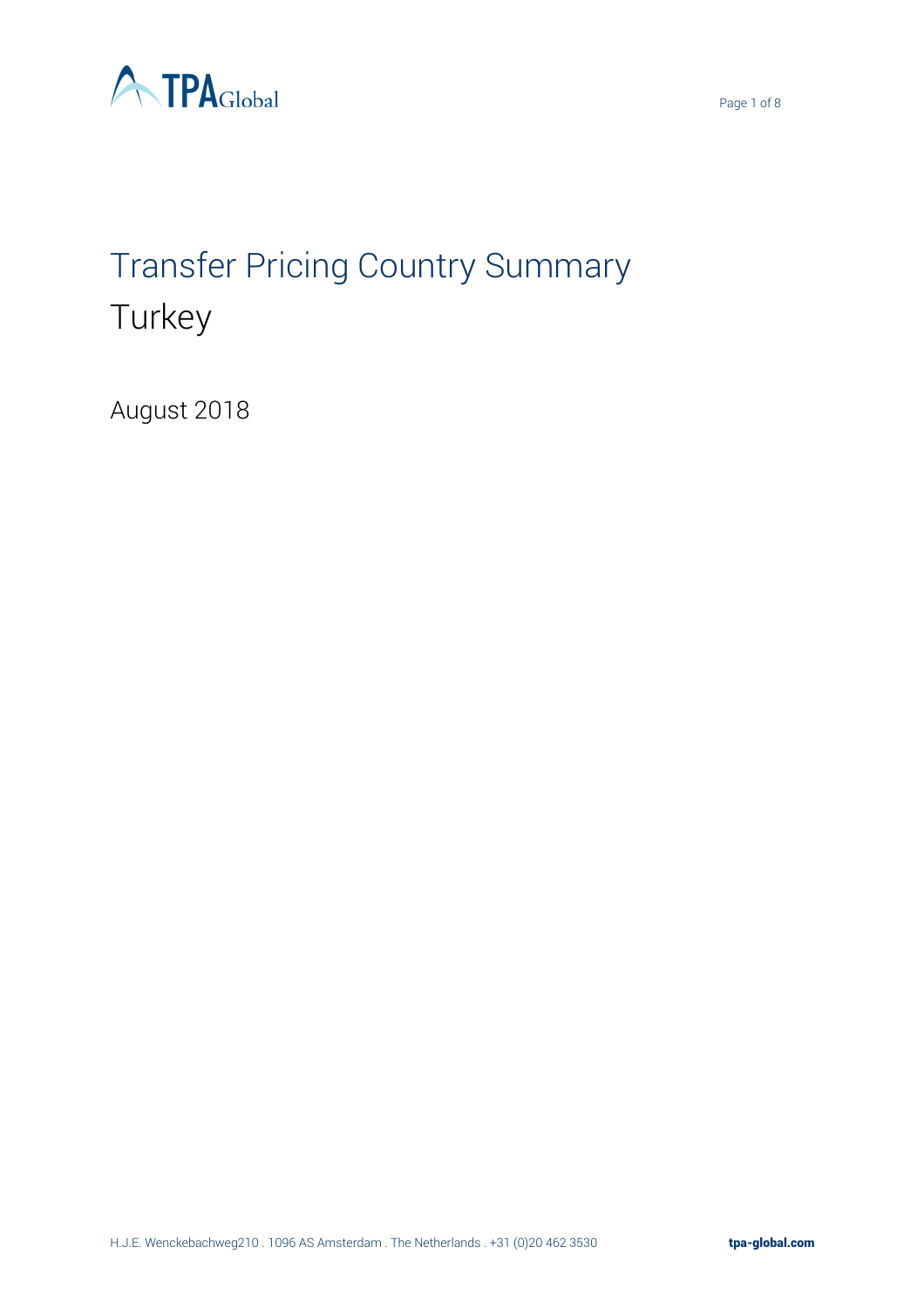

# Transfer Pricing Country Summary **Turkey**

August 2018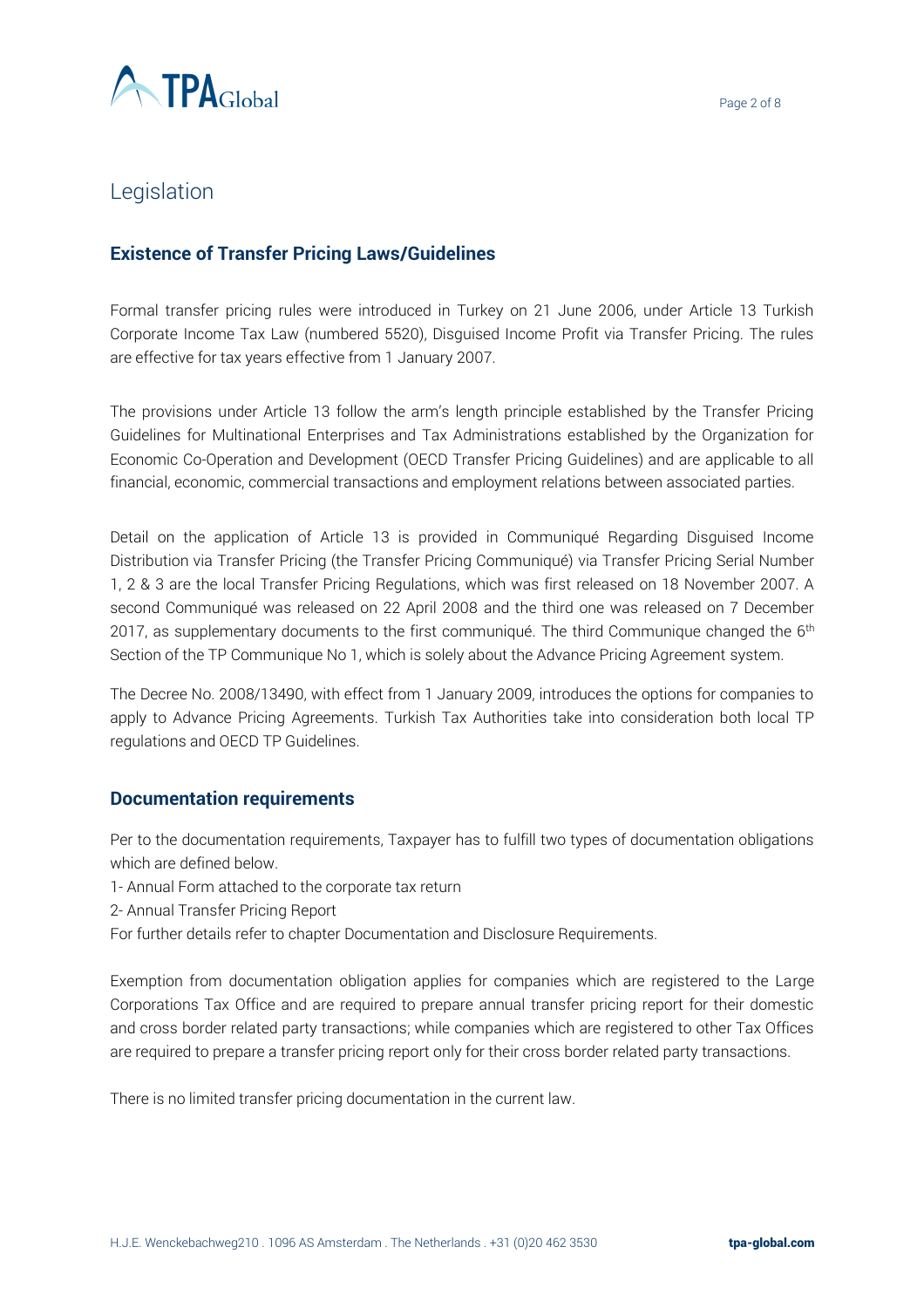

# Legislation

### **Existence of Transfer Pricing Laws/Guidelines**

Formal transfer pricing rules were introduced in Turkey on 21 June 2006, under Article 13 Turkish Corporate Income Tax Law (numbered 5520), Disguised Income Profit via Transfer Pricing. The rules are effective for tax years effective from 1 January 2007.

The provisions under Article 13 follow the arm's length principle established by the Transfer Pricing Guidelines for Multinational Enterprises and Tax Administrations established by the Organization for Economic Co-Operation and Development (OECD Transfer Pricing Guidelines) and are applicable to all financial, economic, commercial transactions and employment relations between associated parties.

Detail on the application of Article 13 is provided in Communiqué Regarding Disguised Income Distribution via Transfer Pricing (the Transfer Pricing Communiqué) via Transfer Pricing Serial Number 1, 2 & 3 are the local Transfer Pricing Regulations, which was first released on 18 November 2007. A second Communiqué was released on 22 April 2008 and the third one was released on 7 December 2017, as supplementary documents to the first communiqué. The third Communique changed the  $6<sup>th</sup>$ Section of the TP Communique No 1, which is solely about the Advance Pricing Agreement system.

The Decree No. 2008/13490, with effect from 1 January 2009, introduces the options for companies to apply to Advance Pricing Agreements. Turkish Tax Authorities take into consideration both local TP regulations and OECD TP Guidelines.

#### **Documentation requirements**

Per to the documentation requirements, Taxpayer has to fulfill two types of documentation obligations which are defined below.

- 1- Annual Form attached to the corporate tax return
- 2- Annual Transfer Pricing Report

For further details refer to chapter Documentation and Disclosure Requirements.

Exemption from documentation obligation applies for companies which are registered to the Large Corporations Tax Office and are required to prepare annual transfer pricing report for their domestic and cross border related party transactions; while companies which are registered to other Tax Offices are required to prepare a transfer pricing report only for their cross border related party transactions.

There is no limited transfer pricing documentation in the current law.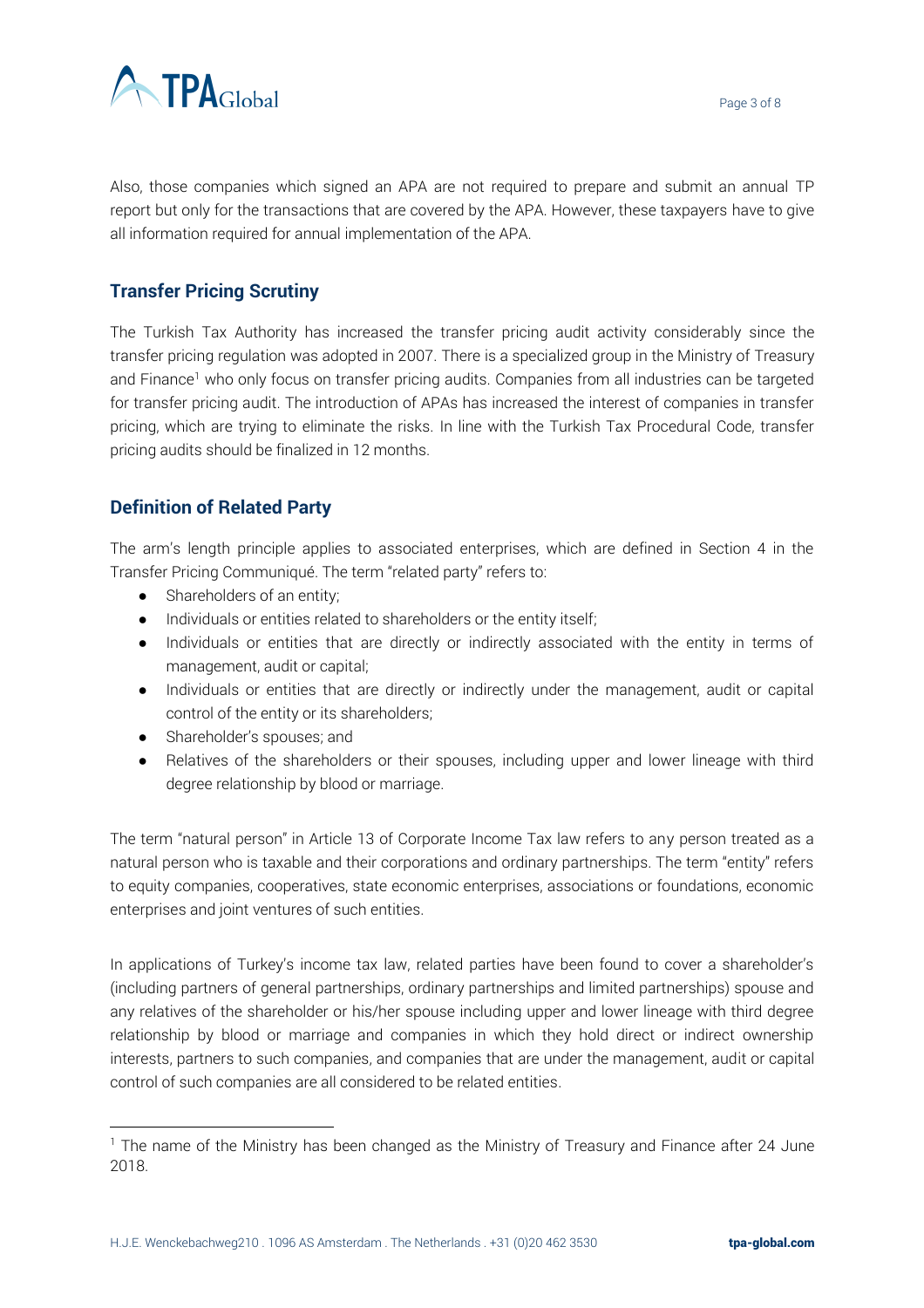

Also, those companies which signed an APA are not required to prepare and submit an annual TP report but only for the transactions that are covered by the APA. However, these taxpayers have to give all information required for annual implementation of the APA.

## **Transfer Pricing Scrutiny**

The Turkish Tax Authority has increased the transfer pricing audit activity considerably since the transfer pricing regulation was adopted in 2007. There is a specialized group in the Ministry of Treasury and Finance<sup>1</sup> who only focus on transfer pricing audits. Companies from all industries can be targeted for transfer pricing audit. The introduction of APAs has increased the interest of companies in transfer pricing, which are trying to eliminate the risks. In line with the Turkish Tax Procedural Code, transfer pricing audits should be finalized in 12 months.

## **Definition of Related Party**

The arm's length principle applies to associated enterprises, which are defined in Section 4 in the Transfer Pricing Communiqué. The term "related party" refers to:

- Shareholders of an entity;
- Individuals or entities related to shareholders or the entity itself;
- Individuals or entities that are directly or indirectly associated with the entity in terms of management, audit or capital;
- Individuals or entities that are directly or indirectly under the management, audit or capital control of the entity or its shareholders;
- Shareholder's spouses; and

 $\overline{a}$ 

● Relatives of the shareholders or their spouses, including upper and lower lineage with third degree relationship by blood or marriage.

The term "natural person" in Article 13 of Corporate Income Tax law refers to any person treated as a natural person who is taxable and their corporations and ordinary partnerships. The term "entity" refers to equity companies, cooperatives, state economic enterprises, associations or foundations, economic enterprises and joint ventures of such entities.

In applications of Turkey's income tax law, related parties have been found to cover a shareholder's (including partners of general partnerships, ordinary partnerships and limited partnerships) spouse and any relatives of the shareholder or his/her spouse including upper and lower lineage with third degree relationship by blood or marriage and companies in which they hold direct or indirect ownership interests, partners to such companies, and companies that are under the management, audit or capital control of such companies are all considered to be related entities.

<sup>&</sup>lt;sup>1</sup> The name of the Ministry has been changed as the Ministry of Treasury and Finance after 24 June 2018.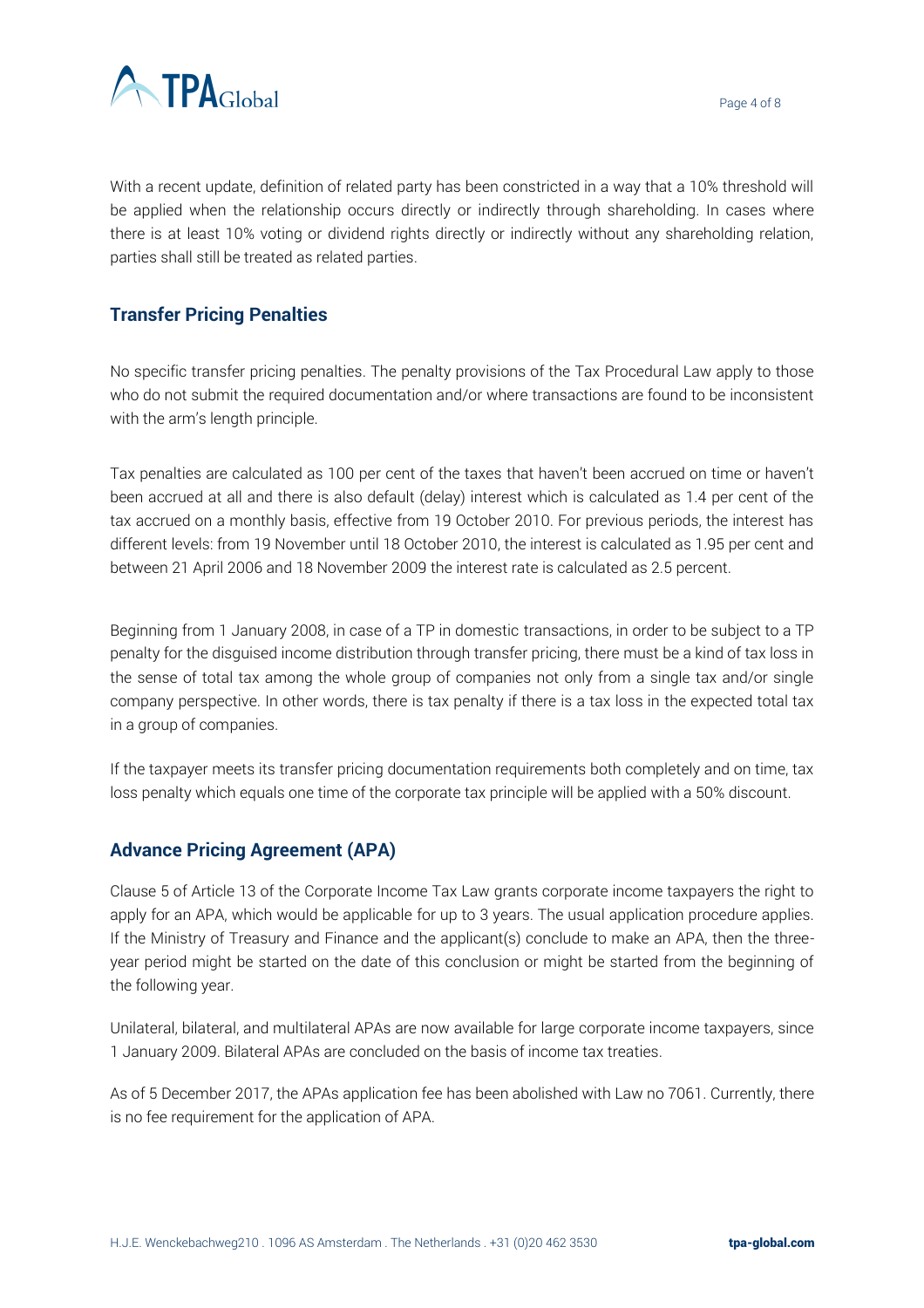

With a recent update, definition of related party has been constricted in a way that a 10% threshold will be applied when the relationship occurs directly or indirectly through shareholding. In cases where there is at least 10% voting or dividend rights directly or indirectly without any shareholding relation, parties shall still be treated as related parties.

## **Transfer Pricing Penalties**

No specific transfer pricing penalties. The penalty provisions of the Tax Procedural Law apply to those who do not submit the required documentation and/or where transactions are found to be inconsistent with the arm's length principle.

Tax penalties are calculated as 100 per cent of the taxes that haven't been accrued on time or haven't been accrued at all and there is also default (delay) interest which is calculated as 1.4 per cent of the tax accrued on a monthly basis, effective from 19 October 2010. For previous periods, the interest has different levels: from 19 November until 18 October 2010, the interest is calculated as 1.95 per cent and between 21 April 2006 and 18 November 2009 the interest rate is calculated as 2.5 percent.

Beginning from 1 January 2008, in case of a TP in domestic transactions, in order to be subject to a TP penalty for the disguised income distribution through transfer pricing, there must be a kind of tax loss in the sense of total tax among the whole group of companies not only from a single tax and/or single company perspective. In other words, there is tax penalty if there is a tax loss in the expected total tax in a group of companies.

If the taxpayer meets its transfer pricing documentation requirements both completely and on time, tax loss penalty which equals one time of the corporate tax principle will be applied with a 50% discount.

#### **Advance Pricing Agreement (APA)**

Clause 5 of Article 13 of the Corporate Income Tax Law grants corporate income taxpayers the right to apply for an APA, which would be applicable for up to 3 years. The usual application procedure applies. If the Ministry of Treasury and Finance and the applicant(s) conclude to make an APA, then the threeyear period might be started on the date of this conclusion or might be started from the beginning of the following year.

Unilateral, bilateral, and multilateral APAs are now available for large corporate income taxpayers, since 1 January 2009. Bilateral APAs are concluded on the basis of income tax treaties.

As of 5 December 2017, the APAs application fee has been abolished with Law no 7061. Currently, there is no fee requirement for the application of APA.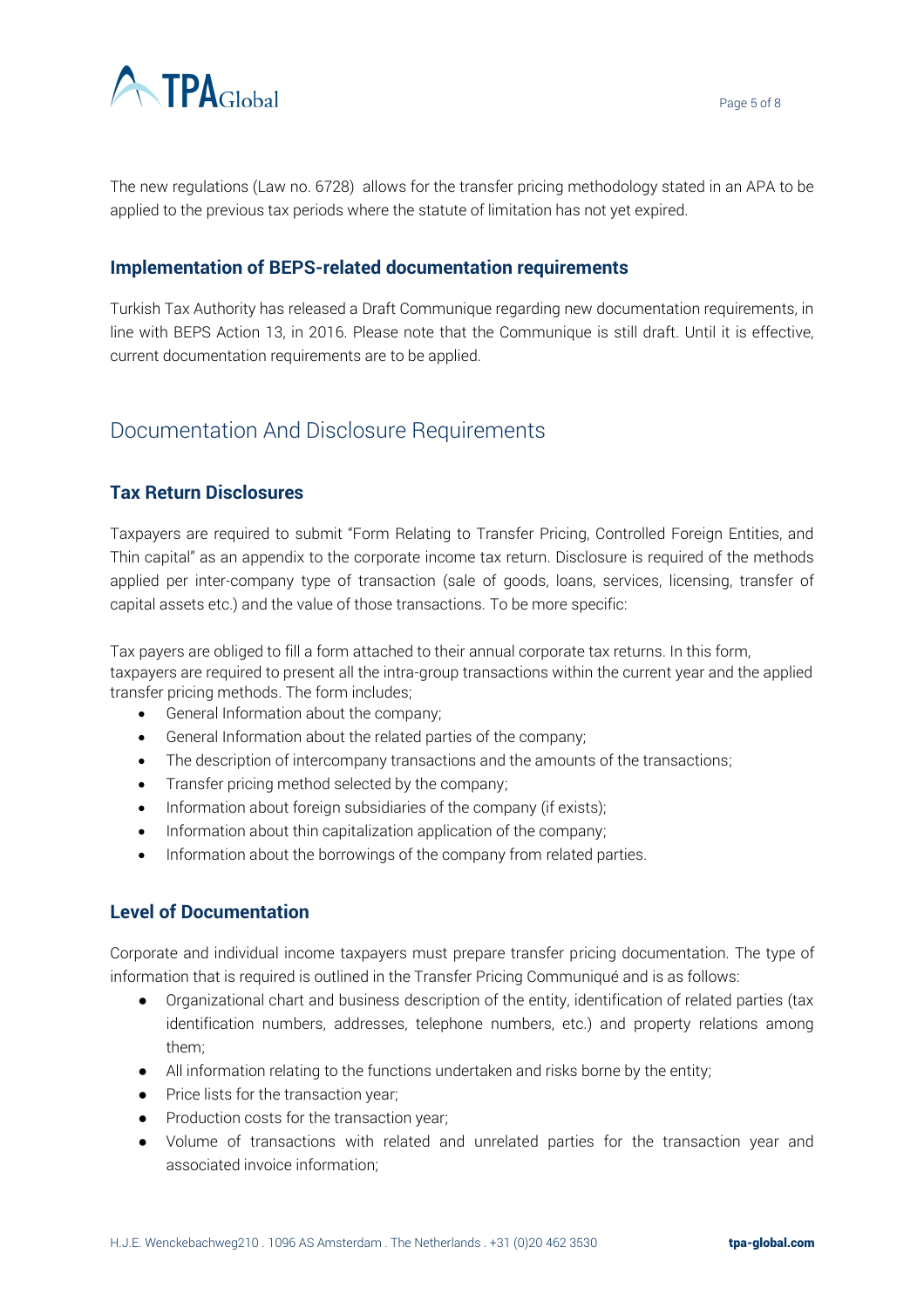

Page 5 of 8

The new regulations (Law no. 6728) allows for the transfer pricing methodology stated in an APA to be applied to the previous tax periods where the statute of limitation has not yet expired.

#### **Implementation of BEPS-related documentation requirements**

Turkish Tax Authority has released a Draft Communique regarding new documentation requirements, in line with BEPS Action 13, in 2016. Please note that the Communique is still draft. Until it is effective, current documentation requirements are to be applied.

# Documentation And Disclosure Requirements

## **Tax Return Disclosures**

Taxpayers are required to submit "Form Relating to Transfer Pricing, Controlled Foreign Entities, and Thin capital" as an appendix to the corporate income tax return. Disclosure is required of the methods applied per inter-company type of transaction (sale of goods, loans, services, licensing, transfer of capital assets etc.) and the value of those transactions. To be more specific:

Tax payers are obliged to fill a form attached to their annual corporate tax returns. In this form, taxpayers are required to present all the intra-group transactions within the current year and the applied transfer pricing methods. The form includes;

- General Information about the company;
- General Information about the related parties of the company;
- The description of intercompany transactions and the amounts of the transactions;
- Transfer pricing method selected by the company;
- Information about foreign subsidiaries of the company (if exists);
- Information about thin capitalization application of the company;
- Information about the borrowings of the company from related parties.

### **Level of Documentation**

Corporate and individual income taxpayers must prepare transfer pricing documentation. The type of information that is required is outlined in the Transfer Pricing Communiqué and is as follows:

- Organizational chart and business description of the entity, identification of related parties (tax identification numbers, addresses, telephone numbers, etc.) and property relations among them;
- All information relating to the functions undertaken and risks borne by the entity;
- Price lists for the transaction year;
- Production costs for the transaction year;
- Volume of transactions with related and unrelated parties for the transaction year and associated invoice information;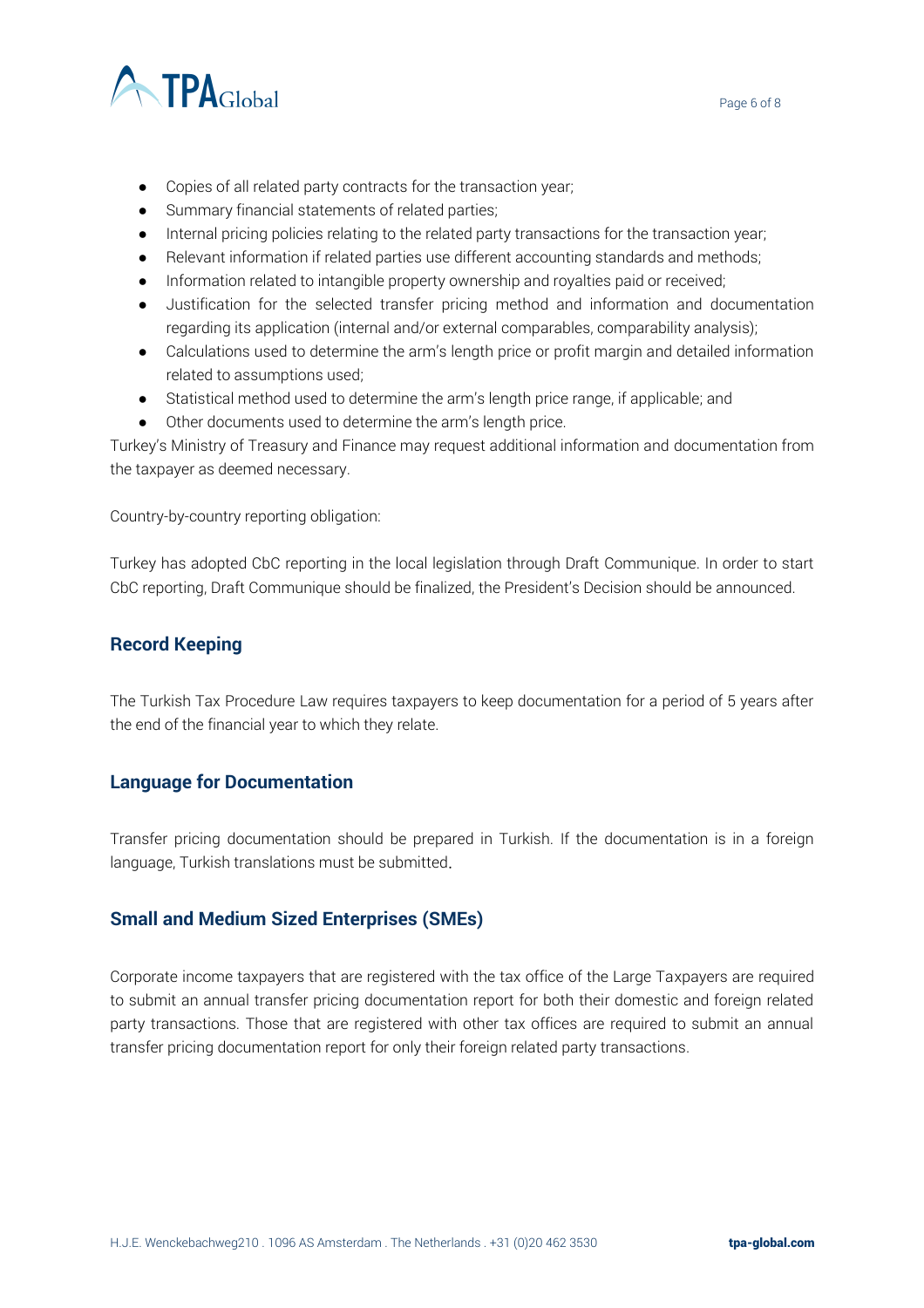

- Copies of all related party contracts for the transaction year;
- Summary financial statements of related parties;
- Internal pricing policies relating to the related party transactions for the transaction year;
- Relevant information if related parties use different accounting standards and methods;
- Information related to intangible property ownership and royalties paid or received;
- Justification for the selected transfer pricing method and information and documentation regarding its application (internal and/or external comparables, comparability analysis);
- Calculations used to determine the arm's length price or profit margin and detailed information related to assumptions used;
- Statistical method used to determine the arm's length price range, if applicable; and
- Other documents used to determine the arm's length price.

Turkey's Ministry of Treasury and Finance may request additional information and documentation from the taxpayer as deemed necessary.

Country-by-country reporting obligation:

Turkey has adopted CbC reporting in the local legislation through Draft Communique. In order to start CbC reporting, Draft Communique should be finalized, the President's Decision should be announced.

#### **Record Keeping**

The Turkish Tax Procedure Law requires taxpayers to keep documentation for a period of 5 years after the end of the financial year to which they relate.

#### **Language for Documentation**

Transfer pricing documentation should be prepared in Turkish. If the documentation is in a foreign language, Turkish translations must be submitted.

#### **Small and Medium Sized Enterprises (SMEs)**

Corporate income taxpayers that are registered with the tax office of the Large Taxpayers are required to submit an annual transfer pricing documentation report for both their domestic and foreign related party transactions. Those that are registered with other tax offices are required to submit an annual transfer pricing documentation report for only their foreign related party transactions.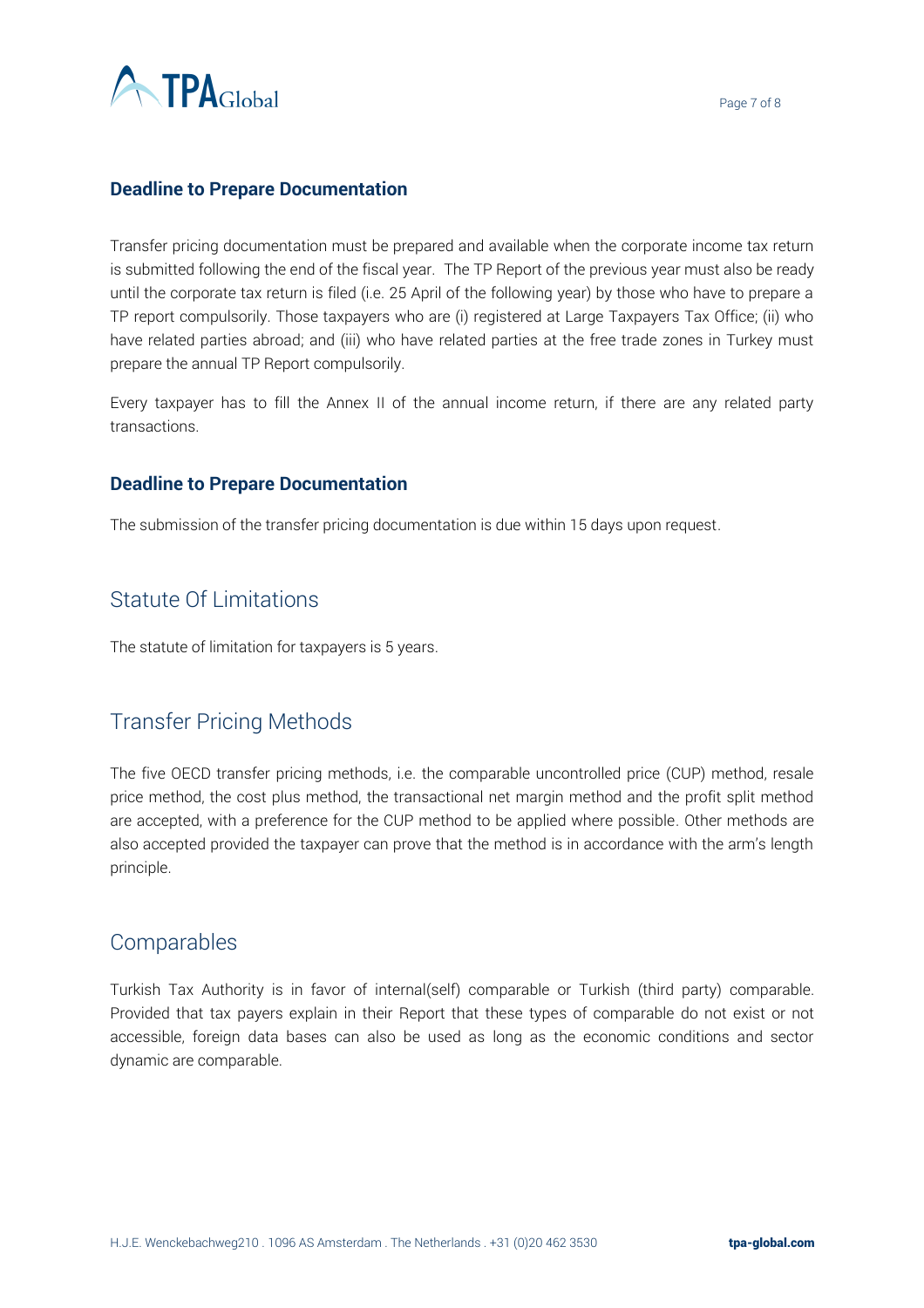

#### **Deadline to Prepare Documentation**

Transfer pricing documentation must be prepared and available when the corporate income tax return is submitted following the end of the fiscal year. The TP Report of the previous year must also be ready until the corporate tax return is filed (i.e. 25 April of the following year) by those who have to prepare a TP report compulsorily. Those taxpayers who are (i) registered at Large Taxpayers Tax Office; (ii) who have related parties abroad; and (iii) who have related parties at the free trade zones in Turkey must prepare the annual TP Report compulsorily.

Every taxpayer has to fill the Annex II of the annual income return, if there are any related party transactions.

#### **Deadline to Prepare Documentation**

The submission of the transfer pricing documentation is due within 15 days upon request.

# Statute Of Limitations

The statute of limitation for taxpayers is 5 years.

## Transfer Pricing Methods

The five OECD transfer pricing methods, i.e. the comparable uncontrolled price (CUP) method, resale price method, the cost plus method, the transactional net margin method and the profit split method are accepted, with a preference for the CUP method to be applied where possible. Other methods are also accepted provided the taxpayer can prove that the method is in accordance with the arm's length principle.

## Comparables

Turkish Tax Authority is in favor of internal(self) comparable or Turkish (third party) comparable. Provided that tax payers explain in their Report that these types of comparable do not exist or not accessible, foreign data bases can also be used as long as the economic conditions and sector dynamic are comparable.